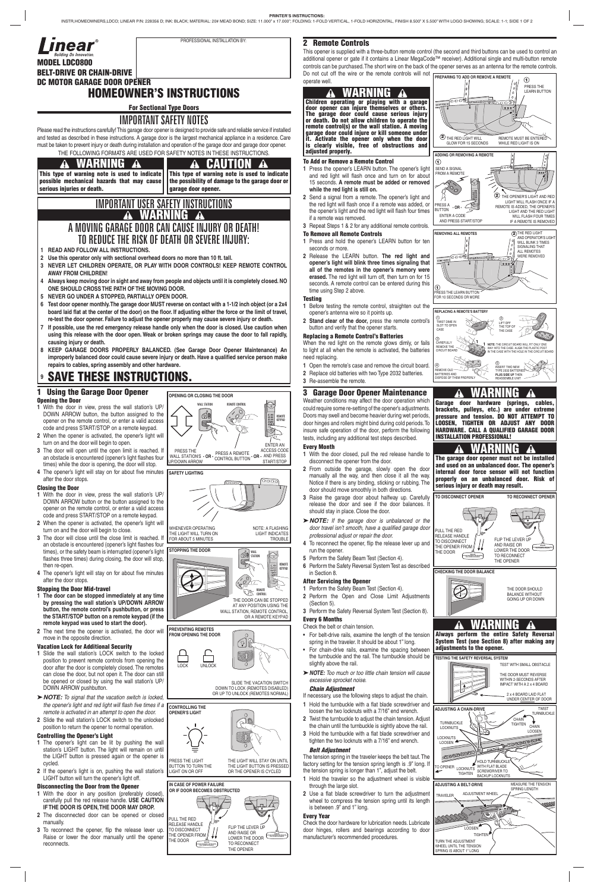# **2 Remote Controls**

This opener is supplied with a three-button remote control (the second and third buttons can be used to control an additional opener or gate if it contains a Linear MegaCode™ receiver). Additional single and multi-button remote controls can be purchased. The short wire on the back of the opener serves as an antenna for the remote controls. Do not cut off the wire or the remote controls will not **PREPARING TO ADD OR REMOVE A REMOTE**<br>ODATATA WAIL operate well.

#### **To Add or Remove a Remote Control**

- **1** Press the opener's LEARN button. The opener's light and red light will flash once and turn on for about 15 seconds. **A remote must be added or removed while the red light is still on.**
- **2** Send a signal from a remote. The opener's light and the red light will flash once if a remote was added, or the opener's light and the red light will flash four times if a remote was removed.
- **3** Repeat Steps 1 & 2 for any additional remote controls.

### **To Remove all Remote Controls**

- **1** Press and hold the opener's LEARN button for ten seconds or more.
- **2** Release the LEARN button. **The red light and opener's light will blink three times signaling that all of the remotes in the opener's memory were erased.** The red light will turn off, then turn on for 15 seconds. A remote control can be entered during this time using Step 2 above.

#### **Testing**

- **1** Before testing the remote control, straighten out the opener's antenna wire so it points up.
- **2 Stand clear of the door,** press the remote control's button and verify that the opener starts.

#### **Replacing a Remote Control's Batteries**

When the red light on the remote glows dimly, or fails to light at all when the remote is activated, the batteries need replacing.

- **1** Open the remote's case and remove the circuit board.
- **2** Replace old batteries with two Type 2032 batteries.
- **3** Re-assemble the remote.

# **3 Garage Door Opener Maintenance**

- 1 Hold the turnbuckle with a flat blade screwdriver and loosen the two locknuts with a 7/16" end wrench.
- **2** Twist the turnbuckle to adjust the chain tension. Adjust the chain until the turnbuckle is sightly above the rail.
- **3** Hold the turnbuckle with a flat blade screwdriver and tighten the two locknuts with a 7/16" end wrench.

Weather conditions may affect the door operation which could require some re-setting of the opener's adjustments. Doors may swell and become heavier during wet periods, door hinges and rollers might bind during cold periods. To insure safe operation of the door, perform the following tests, including any additional test steps described.

#### **Every Month**

- **1** With the door closed, pull the red release handle to disconnect the opener from the door.
- **2** From outside the garage, slowly open the door manually all the way, and then close it all the way. Notice if there is any binding, sticking or rubbing. The door should move smoothly in both directions.
- **3** Raise the garage door about halfway up. Carefully release the door and see if the door balances. It should stay in place. Close the door.
- ➤ *NOTE: If the garage door is unbalanced or the*  door travel isn't smooth, have a qualified garage door *professional adjust or repair the door.*
- 4 To reconnect the opener, flip the release lever up and run the opener.
- **5** Perform the Safety Beam Test (Section 4).
- **6** Perform the Safety Reversal System Test as described in Section 8.

#### **After Servicing the Opener**

- **1** Perform the Safety Beam Test (Section 4). **2** Perform the Open and Close Limit Adjustments (Section 5).
- **3** Perform the Safety Reversal System Test (Section 8).
- **Every 6 Months**

# Check the belt or chain tension.

spring in the traveler. It should be about 1" long.

- For chain-drive rails, examine the spacing between the turnbuckle and the rail. The turnbuckle should be slightly above the rail.
- ➤ *NOTE: Too much or too little chain tension will cause excessive sprocket noise.*

#### *Chain Adjustment*

If necessary, use the following steps to adjust the chain.

#### *Belt Adjustment*

The tension spring in the traveler keeps the belt taut. The factory setting for the tension spring length is .9" long. If the tension spring is longer than 1", adjust the belt.

- **1** Hold the traveler so the adjustment wheel is visible through the large slot.
- 2 Use a flat blade screwdriver to turn the adjustment wheel to compress the tension spring until its length is between .9" and 1" long.

#### **Every Year**

Check the door hardware for lubrication needs. Lubricate door hinges, rollers and bearings according to door manufacturer's recommended procedures.

**MODEL LDCO800 BELT-DRIVE OR CHAIN-DRIVE DC MOTOR GARAGE DOOR OPENER**

# **HOMEOWNER'S INSTRUCTIONS**

**For Sectional Type Doors**

# IMPORTANT SAFETY NOTES

Please read the instructions carefully! This garage door opener is designed to provide safe and reliable service if installed and tested as described in these instructions. A garage door is the largest mechanical appliance in a residence. Care must be taken to prevent injury or death during installation and operation of the garage door and garage door opener. THE FOLLOWING FORMATS ARE USED FOR SAFETY NOTES IN THESE INSTRUCTIONS.

#### **1 Using the Garage Door Opener Opening the Door**

<u>ටෙලෙ</u> 888 **2** THE RED LIGHT WILL GLOW FOR 15 SECONDS REMOTE MUST BE ENTER WHILE RED LIGHT IS ON **ADDING OR REMOVING A REMOTE 1** SEND A SIGNAL FROM A REMOT 2) THE OPENER'S LIGHT AND RED LIGHT WILL FLASH ONCE IF A REMOTE IS ADDED, THE OPENER'S PRESS A BUTTON **- OR -** LIGHT AND THE RED LIGHT ENTER A CODE WILL FLASH FOUR TIMES IF A REMOTE IS REMOVED AND PRESS START/STOP **REMOVING ALL REMOTES** THE RED LIGHT<br>AND OPERATOR'S LIGHT WILL BLINK 3 TIMES SIGNALING THAT ALL REMOTES WERE REMOVED @ு® ⊃യ **1** PRESS THE LEARN BUTTON FOR 10 SECONDS OR MORE **REPLACING A REMOTE'S BATTERY** 1 2 TWIST DIME IN SLOT TO OPEN LIFT OFF THE TOP OF CASE THE CASE 3 CAREFULLY **NOTE:** THE CIRCUIT BOARD WILL FIT ONLY ONE REMOVE THE WAY INTO THE CASE. ALIGN THE PLASTIC POST IN THE CASE WITH THE HOLE IN THE CIRCUIT BOARD CIRCUIT BOARD  $^{\circledR}$ 5 INSERT TWO NEW REMOVE OLD TYPE 2032 BATTERIES **PLUS SIDE UP** THEN BATTERIES AND DISPOSE OF THEM PROPERLY REASSEMBLE UNIT  **WARNING Garage door hardware (springs, cables, brackets, pulleys, etc.) are under extreme pressure and tension. DO NOT ATTEMPT TO LOOSEN, TIGHTEN OR ADJUST ANY DOOR HARDWARE. CALL A QUALIFIED GARAGE DOOR** 

- **1** With the door in view, press the wall station's UP/ DOWN ARROW button, the button assigned to the opener on the remote control, or enter a valid access code and press START/STOP on a remote keypad.
- **2** When the opener is activated, the opener's light will turn on and the door will begin to open.
- **3** The door will open until the open limit is reached. If an obstacle is encountered (opener's light flashes four times) while the door is opening, the door will stop.
- 4 The opener's light will stay on for about five minutes after the door stops.

### **Closing the Door**

- **1** With the door in view, press the wall station's UP/ DOWN ARROW button or the button assigned to the opener on the remote control, or enter a valid access code and press START/STOP on a remote keypad.
- **2** When the opener is activated, the opener's light will turn on and the door will begin to close.
- **3** The door will close until the close limit is reached. If an obstacle is encountered (opener's light flashes four times), or the safety beam is interrupted (opener's light flashes three times) during closing, the door will stop, then re-open.
- 4 The opener's light will stay on for about five minutes after the door stops.



SLIDE THE VACATION SWITCH DOWN TO LOCK (REMOTES DISABLED) OR UP TO UNLOCK (REMOTES NORMAL)



# **Stopping the Door Mid-travel**

#### **Vacation Lock for Additional Security**

**•** For belt-drive rails, examine the length of the tension **Always perform the entire Safety Reversal System Test (see Section 8) after making any** 

- **1** Slide the wall station's LOCK switch to the locked position to prevent remote controls from opening the door after the door is completely closed. The remotes can close the door, but not open it. The door can still be opened or closed by using the wall station's UP/ DOWN ARROW pushbutton.
- ➤ *NOTE: To signal that the vacation switch is locked,*  the opener's light and red light will flash five times if a *remote is activated in an attempt to open the door.*
- **2** Slide the wall station's LOCK switch to the unlocked position to return the opener to normal operation.

#### **Controlling the Opener's Light**

- **1** The opener's light can be lit by pushing the wall station's LIGHT button. The light will remain on until the LIGHT button is pressed again or the opener is cycled.
- **2** If the opener's light is on, pushing the wall station's LIGHT button will turn the opener's light off.

#### **Disconnecting the Door from the Opener**

- **1** With the door in any position (preferably closed), carefully pull the red release handle. **USE CAUTION IF THE DOOR IS OPEN, THE DOOR MAY DROP.**
- **2** The disconnected door can be opened or closed manually.
- **3** To reconnect the opener, flip the release lever up. Raise or lower the door manually until the opener reconnects.

# IMPORTANT USER SAFETY INSTRUCTIONS **WARNING** A MOVING GARAGE DOOR CAN CAUSE INJURY OR DEATH! TO REDUCE THE RISK OF DEATH OR SEVERE INJURY:

- **1 READ AND FOLLOW ALL INSTRUCTIONS.**
- **2 Use this operator only with sectional overhead doors no more than 10 ft. tall.**
- **3 NEVER LET CHILDREN OPERATE, OR PLAY WITH DOOR CONTROLS! KEEP REMOTE CONTROL AWAY FROM CHILDREN!**
- **4 Always keep moving door in sight and away from people and objects until it is completely closed. NO ONE SHOULD CROSS THE PATH OF THE MOVING DOOR.**
- **5 NEVER GO UNDER A STOPPED, PARTIALLY OPEN DOOR.**
- **6 Test door opener monthly. The garage door MUST reverse on contact with a 1-1/2 inch object (or a 2x4**  board laid flat at the center of the door) on the floor. If adjusting either the force or the limit of travel, **re-test the door opener. Failure to adjust the opener properly may cause severe injury or death.**
- **7 If possible, use the red emergency release handle only when the door is closed. Use caution when using this release with the door open. Weak or broken springs may cause the door to fall rapidly, causing injury or death.**
- **8 KEEP GARAGE DOORS PROPERLY BALANCED. (See Garage Door Opener Maintenance) An**  improperly balanced door could cause severe injury or death. Have a qualified service person make **repairs to cables, spring assembly and other hardware.**

# **<sup>9</sup> SAVE THESE INSTRUCTIONS.**



- **1 The door can be stopped immediately at any time by pressing the wall station's UP/DOWN ARROW button, the remote control's pushbutton, or press the START/STOP button on a remote keypad (if the remote keypad was used to start the door).**
- **2** The next time the opener is activated, the door will move in the opposite direction. **PREVENTING REMOTES FROM OPENING THE DOOR**

# **WARNING**

**This type of warning note is used to indicate possible mechanical hazards that may cause serious injuries or death.**

**CAUTION A This type of warning note is used to indicate the possibility of damage to the garage door or garage door opener.**





**The garage door opener must not be installed and used on an unbalanced door. The opener's internal door force sensor will not function properly on an unbalanced door. Risk of serious injury or death may result.**

**INSTALLATION PROFESSIONAL!**

# **WARNING**

#### **adjustments to the opener.**

# **WARNING Children operating or playing with a garage**

**door opener can injure themselves or others. The garage door could cause serious injury or death. Do not allow children to operate the remote control(s) or the wall station. A moving garage door could injure or kill someone under it. Activate the opener only when the door is clearly visible, free of obstructions and adjusted properly.**



PRESS THE LEARN BUTTON

#### **OPENING OR CLOSING THE DOOR**

![](_page_0_Picture_34.jpeg)

![](_page_0_Picture_38.jpeg)

**CONTROLLING THE OPENER'S LIGHT**

PRESS THE LIGHT BUTTON TO TURN THE LIGHT ON OR OFF

THE LIGHT WILL STAY ON UNTIL THE LIGHT BUTTON IS PRESSE OR THE OPENER IS CYCLED

#### **IN CASE OF POWER FAILURE OR IF DOOR BECOMES OBSTRUCTED**

![](_page_0_Picture_97.jpeg)

THE DOOR

![](_page_0_Picture_0.jpeg)

PROFESSIONAL INSTALLATION BY:

![](_page_0_Picture_36.jpeg)

THE LIGHT WILL TURN ON FOR ABOUT 5 MINUTES NOTE: A FLASHING LIGHT INDICATES

**TROUBLE** 

**SAFETY LIGHTING**